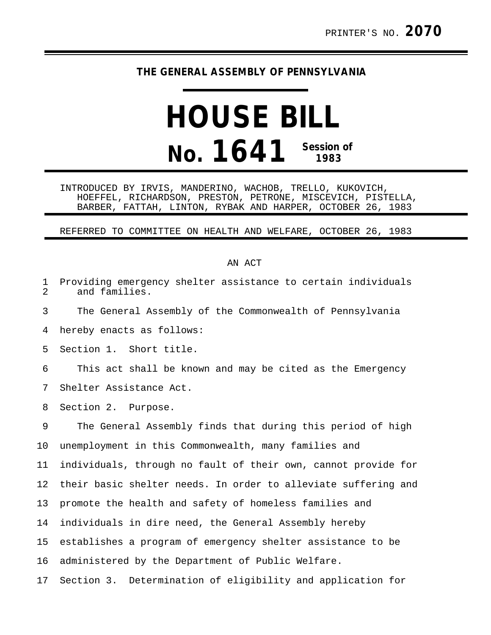## **THE GENERAL ASSEMBLY OF PENNSYLVANIA**

## **HOUSE BILL No. 1641 Session of 1983**

INTRODUCED BY IRVIS, MANDERINO, WACHOB, TRELLO, KUKOVICH, HOEFFEL, RICHARDSON, PRESTON, PETRONE, MISCEVICH, PISTELLA, BARBER, FATTAH, LINTON, RYBAK AND HARPER, OCTOBER 26, 1983

REFERRED TO COMMITTEE ON HEALTH AND WELFARE, OCTOBER 26, 1983

## AN ACT

| 1<br>$\overline{2}$ | Providing emergency shelter assistance to certain individuals<br>and families. |
|---------------------|--------------------------------------------------------------------------------|
| 3                   | The General Assembly of the Commonwealth of Pennsylvania                       |
| 4                   | hereby enacts as follows:                                                      |
| 5                   | Section 1. Short title.                                                        |
| 6                   | This act shall be known and may be cited as the Emergency                      |
| 7                   | Shelter Assistance Act.                                                        |
| 8                   | Section 2. Purpose.                                                            |
| 9                   | The General Assembly finds that during this period of high                     |
| 10                  | unemployment in this Commonwealth, many families and                           |
| 11                  | individuals, through no fault of their own, cannot provide for                 |
| 12                  | their basic shelter needs. In order to alleviate suffering and                 |
| 13                  | promote the health and safety of homeless families and                         |
| 14                  | individuals in dire need, the General Assembly hereby                          |
| 15                  | establishes a program of emergency shelter assistance to be                    |
| 16                  | administered by the Department of Public Welfare.                              |
| 17                  | Section 3. Determination of eligibility and application for                    |